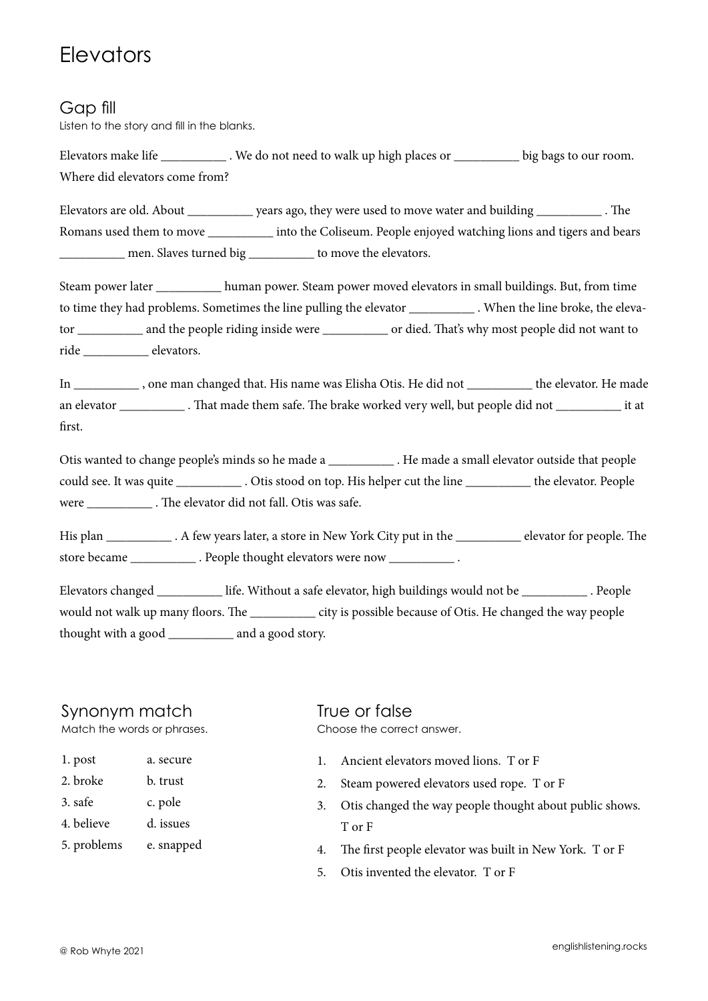## **Elevators**

### Gap fill

Listen to the story and fill in the blanks.

Elevators make life . We do not need to walk up high places or big bags to our room. Where did elevators come from?

Elevators are old. About \_\_\_\_\_\_\_\_\_\_ years ago, they were used to move water and building \_\_\_\_\_\_\_\_\_\_ . The Romans used them to move \_\_\_\_\_\_\_\_\_\_ into the Coliseum. People enjoyed watching lions and tigers and bears \_\_\_\_\_\_\_\_\_\_ men. Slaves turned big \_\_\_\_\_\_\_\_\_\_ to move the elevators.

Steam power later \_\_\_\_\_\_\_\_\_\_ human power. Steam power moved elevators in small buildings. But, from time to time they had problems. Sometimes the line pulling the elevator \_\_\_\_\_\_\_\_\_\_\_\_\_ . When the line broke, the elevator \_\_\_\_\_\_\_\_\_\_ and the people riding inside were \_\_\_\_\_\_\_\_\_\_\_\_ or died. That's why most people did not want to ride \_\_\_\_\_\_\_\_\_\_ elevators.

In \_\_\_\_\_\_\_\_\_\_\_\_, one man changed that. His name was Elisha Otis. He did not \_\_\_\_\_\_\_\_\_\_\_ the elevator. He made an elevator \_\_\_\_\_\_\_\_\_\_ . That made them safe. The brake worked very well, but people did not \_\_\_\_\_\_\_\_\_\_ it at first.

Otis wanted to change people's minds so he made a \_\_\_\_\_\_\_\_\_\_\_\_\_. He made a small elevator outside that people could see. It was quite \_\_\_\_\_\_\_\_\_\_ . Otis stood on top. His helper cut the line \_\_\_\_\_\_\_\_\_\_ the elevator. People were . The elevator did not fall. Otis was safe.

His plan . A few years later, a store in New York City put in the elevator for people. The store became example . People thought elevators were now  $\blacksquare$ 

Elevators changed \_\_\_\_\_\_\_\_\_\_ life. Without a safe elevator, high buildings would not be \_\_\_\_\_\_\_\_\_\_ . People would not walk up many floors. The \_\_\_\_\_\_\_\_\_\_\_\_\_ city is possible because of Otis. He changed the way people thought with a good \_\_\_\_\_\_\_\_\_\_ and a good story.

#### Synonym match

Match the words or phrases.

| 1. post | a. secure |
|---------|-----------|
|         |           |

- 2. broke b. trust
- 3. safe c. pole
- 4. believe d. issues
- 5. problems e. snapped

True or false Choose the correct answer.

- 1. Ancient elevators moved lions. T or F
- 2. Steam powered elevators used rope. T or F
- 3. Otis changed the way people thought about public shows. T or F
- 4. The first people elevator was built in New York. T or F
- 5. Otis invented the elevator. T or F